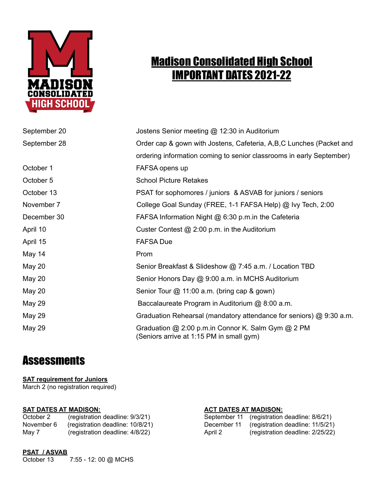

# Madison Consolidated High School IMPORTANT DATES 2021-22

| September 20  | Jostens Senior meeting @ 12:30 in Auditorium                                                   |
|---------------|------------------------------------------------------------------------------------------------|
| September 28  | Order cap & gown with Jostens, Cafeteria, A,B,C Lunches (Packet and                            |
|               | ordering information coming to senior classrooms in early September)                           |
| October 1     | FAFSA opens up                                                                                 |
| October 5     | <b>School Picture Retakes</b>                                                                  |
| October 13    | PSAT for sophomores / juniors & ASVAB for juniors / seniors                                    |
| November 7    | College Goal Sunday (FREE, 1-1 FAFSA Help) @ Ivy Tech, 2:00                                    |
| December 30   | FAFSA Information Night @ 6:30 p.m.in the Cafeteria                                            |
| April 10      | Custer Contest @ 2:00 p.m. in the Auditorium                                                   |
| April 15      | <b>FAFSA Due</b>                                                                               |
| May 14        | Prom                                                                                           |
| <b>May 20</b> | Senior Breakfast & Slideshow @ 7:45 a.m. / Location TBD                                        |
| <b>May 20</b> | Senior Honors Day @ 9:00 a.m. in MCHS Auditorium                                               |
| May 20        | Senior Tour @ 11:00 a.m. (bring cap & gown)                                                    |
| <b>May 29</b> | Baccalaureate Program in Auditorium @ 8:00 a.m.                                                |
| May 29        | Graduation Rehearsal (mandatory attendance for seniors) @ 9:30 a.m.                            |
| May 29        | Graduation @ 2:00 p.m.in Connor K. Salm Gym @ 2 PM<br>(Seniors arrive at 1:15 PM in small gym) |

## **Assessments**

### **SAT requirement for Juniors**

March 2 (no registration required)

October 2 (registration deadline: 9/3/21) November 6 (registration deadline: 10/8/21) May 7 (registration deadline: 4/8/22)

#### **SAT DATES AT MADISON: ACT DATES AT MADISON:**

| September 11 | (registration deadline: 8/6/21)  |
|--------------|----------------------------------|
| December 11  | (registration deadline: 11/5/21) |
| April 2      | (registration deadline: 2/25/22) |

### **PSAT / ASVAB**

October 13 7:55 - 12: 00 @ MCHS